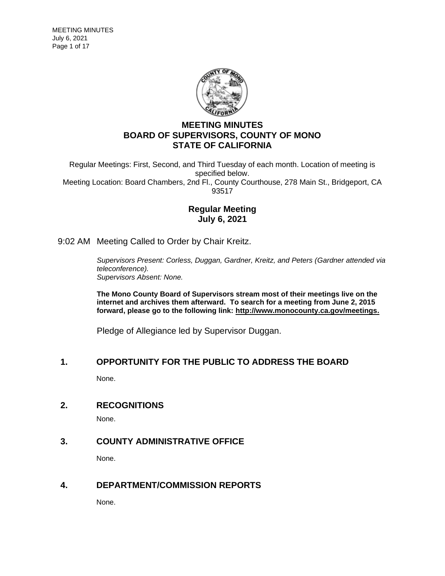

# **MEETING MINUTES BOARD OF SUPERVISORS, COUNTY OF MONO STATE OF CALIFORNIA**

Regular Meetings: First, Second, and Third Tuesday of each month. Location of meeting is specified below. Meeting Location: Board Chambers, 2nd Fl., County Courthouse, 278 Main St., Bridgeport, CA 93517

# **Regular Meeting July 6, 2021**

9:02 AM Meeting Called to Order by Chair Kreitz.

*Supervisors Present: Corless, Duggan, Gardner, Kreitz, and Peters (Gardner attended via teleconference). Supervisors Absent: None.*

**The Mono County Board of Supervisors stream most of their meetings live on the internet and archives them afterward. To search for a meeting from June 2, 2015 forward, please go to the following link: [http://www.monocounty.ca.gov/meetings.](http://www.monocounty.ca.gov/meetings)**

Pledge of Allegiance led by Supervisor Duggan.

## **1. OPPORTUNITY FOR THE PUBLIC TO ADDRESS THE BOARD**

None.

**2. RECOGNITIONS**

None.

# **3. COUNTY ADMINISTRATIVE OFFICE**

None.

### **4. DEPARTMENT/COMMISSION REPORTS**

None.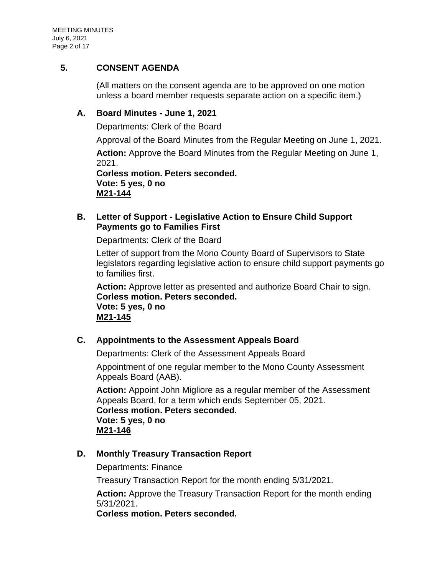# **5. CONSENT AGENDA**

(All matters on the consent agenda are to be approved on one motion unless a board member requests separate action on a specific item.)

# **A. [Board Minutes -](https://agenda.mono.ca.gov/AgendaWeb/CoverSheet.aspx?ItemID=13430&MeetingID=789) June 1, 2021**

Departments: Clerk of the Board

Approval of the Board Minutes from the Regular Meeting on June 1, 2021.

**Action:** Approve the Board Minutes from the Regular Meeting on June 1, 2021.

**Corless motion. Peters seconded. Vote: 5 yes, 0 no M21-144**

# **B. Letter of Support - [Legislative Action to Ensure Child Support](https://agenda.mono.ca.gov/AgendaWeb/CoverSheet.aspx?ItemID=13477&MeetingID=789)  [Payments go to Families First](https://agenda.mono.ca.gov/AgendaWeb/CoverSheet.aspx?ItemID=13477&MeetingID=789)**

Departments: Clerk of the Board

Letter of support from the Mono County Board of Supervisors to State legislators regarding legislative action to ensure child support payments go to families first.

**Action:** Approve letter as presented and authorize Board Chair to sign. **Corless motion. Peters seconded. Vote: 5 yes, 0 no M21-145**

# **C. [Appointments to the Assessment Appeals Board](https://agenda.mono.ca.gov/AgendaWeb/CoverSheet.aspx?ItemID=13479&MeetingID=789)**

Departments: Clerk of the Assessment Appeals Board

Appointment of one regular member to the Mono County Assessment Appeals Board (AAB).

**Action:** Appoint John Migliore as a regular member of the Assessment Appeals Board, for a term which ends September 05, 2021. **Corless motion. Peters seconded. Vote: 5 yes, 0 no M21-146**

# **D. [Monthly Treasury Transaction Report](https://agenda.mono.ca.gov/AgendaWeb/CoverSheet.aspx?ItemID=13455&MeetingID=789)**

Departments: Finance

Treasury Transaction Report for the month ending 5/31/2021.

**Action:** Approve the Treasury Transaction Report for the month ending 5/31/2021.

**Corless motion. Peters seconded.**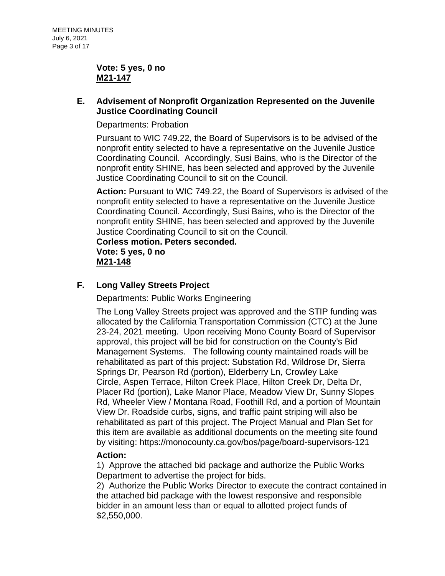### **Vote: 5 yes, 0 no M21-147**

# **E. [Advisement of Nonprofit Organization Represented on the Juvenile](https://agenda.mono.ca.gov/AgendaWeb/CoverSheet.aspx?ItemID=13442&MeetingID=789)  [Justice Coordinating Council](https://agenda.mono.ca.gov/AgendaWeb/CoverSheet.aspx?ItemID=13442&MeetingID=789)**

Departments: Probation

Pursuant to WIC 749.22, the Board of Supervisors is to be advised of the nonprofit entity selected to have a representative on the Juvenile Justice Coordinating Council. Accordingly, Susi Bains, who is the Director of the nonprofit entity SHINE, has been selected and approved by the Juvenile Justice Coordinating Council to sit on the Council.

**Action:** Pursuant to WIC 749.22, the Board of Supervisors is advised of the nonprofit entity selected to have a representative on the Juvenile Justice Coordinating Council. Accordingly, Susi Bains, who is the Director of the nonprofit entity SHINE, has been selected and approved by the Juvenile Justice Coordinating Council to sit on the Council.

**Corless motion. Peters seconded. Vote: 5 yes, 0 no M21-148**

# **F. [Long Valley Streets Project](https://agenda.mono.ca.gov/AgendaWeb/CoverSheet.aspx?ItemID=13463&MeetingID=789)**

Departments: Public Works Engineering

The Long Valley Streets project was approved and the STIP funding was allocated by the California Transportation Commission (CTC) at the June 23-24, 2021 meeting. Upon receiving Mono County Board of Supervisor approval, this project will be bid for construction on the County's Bid Management Systems. The following county maintained roads will be rehabilitated as part of this project: Substation Rd, Wildrose Dr, Sierra Springs Dr, Pearson Rd (portion), Elderberry Ln, Crowley Lake Circle, Aspen Terrace, Hilton Creek Place, Hilton Creek Dr, Delta Dr, Placer Rd (portion), Lake Manor Place, Meadow View Dr, Sunny Slopes Rd, Wheeler View / Montana Road, Foothill Rd, and a portion of Mountain View Dr. Roadside curbs, signs, and traffic paint striping will also be rehabilitated as part of this project. The Project Manual and Plan Set for this item are available as additional documents on the meeting site found by visiting: https://monocounty.ca.gov/bos/page/board-supervisors-121

## **Action:**

1) Approve the attached bid package and authorize the Public Works Department to advertise the project for bids.

2) Authorize the Public Works Director to execute the contract contained in the attached bid package with the lowest responsive and responsible bidder in an amount less than or equal to allotted project funds of \$2,550,000.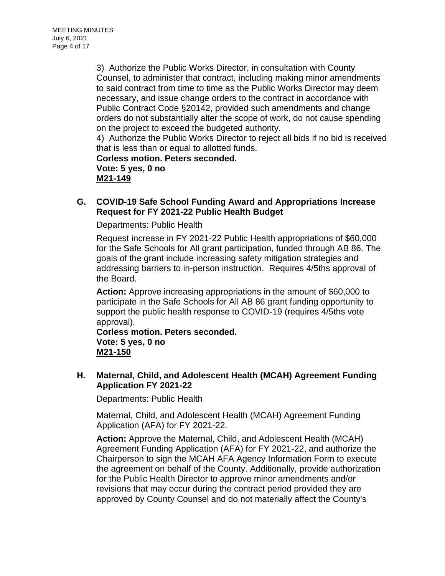3) Authorize the Public Works Director, in consultation with County Counsel, to administer that contract, including making minor amendments to said contract from time to time as the Public Works Director may deem necessary, and issue change orders to the contract in accordance with Public Contract Code §20142, provided such amendments and change orders do not substantially alter the scope of work, do not cause spending on the project to exceed the budgeted authority.

4) Authorize the Public Works Director to reject all bids if no bid is received that is less than or equal to allotted funds.

**Corless motion. Peters seconded. Vote: 5 yes, 0 no M21-149**

# **G. [COVID-19 Safe School Funding Award and Appropriations Increase](https://agenda.mono.ca.gov/AgendaWeb/CoverSheet.aspx?ItemID=13424&MeetingID=789)  [Request for FY 2021-22 Public Health Budget](https://agenda.mono.ca.gov/AgendaWeb/CoverSheet.aspx?ItemID=13424&MeetingID=789)**

Departments: Public Health

Request increase in FY 2021-22 Public Health appropriations of \$60,000 for the Safe Schools for All grant participation, funded through AB 86. The goals of the grant include increasing safety mitigation strategies and addressing barriers to in-person instruction. Requires 4/5ths approval of the Board.

**Action:** Approve increasing appropriations in the amount of \$60,000 to participate in the Safe Schools for All AB 86 grant funding opportunity to support the public health response to COVID-19 (requires 4/5ths vote approval).

**Corless motion. Peters seconded. Vote: 5 yes, 0 no M21-150**

## **H. [Maternal, Child, and Adolescent Health \(MCAH\) Agreement Funding](https://agenda.mono.ca.gov/AgendaWeb/CoverSheet.aspx?ItemID=13459&MeetingID=789)  [Application FY 2021-22](https://agenda.mono.ca.gov/AgendaWeb/CoverSheet.aspx?ItemID=13459&MeetingID=789)**

Departments: Public Health

Maternal, Child, and Adolescent Health (MCAH) Agreement Funding Application (AFA) for FY 2021-22.

**Action:** Approve the Maternal, Child, and Adolescent Health (MCAH) Agreement Funding Application (AFA) for FY 2021-22, and authorize the Chairperson to sign the MCAH AFA Agency Information Form to execute the agreement on behalf of the County. Additionally, provide authorization for the Public Health Director to approve minor amendments and/or revisions that may occur during the contract period provided they are approved by County Counsel and do not materially affect the County's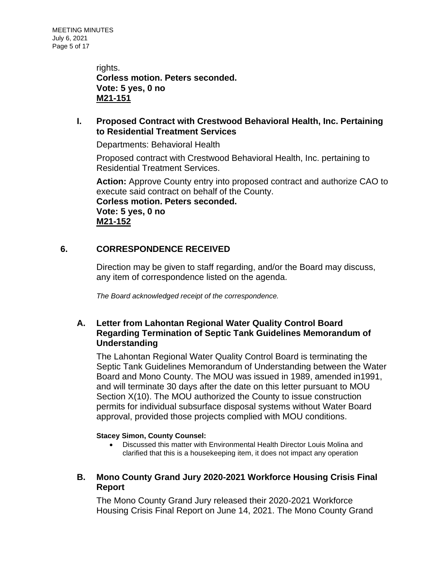rights. **Corless motion. Peters seconded. Vote: 5 yes, 0 no M21-151**

# **I. [Proposed Contract with Crestwood Behavioral Health, Inc. Pertaining](https://agenda.mono.ca.gov/AgendaWeb/CoverSheet.aspx?ItemID=13490&MeetingID=789)  [to Residential Treatment Services](https://agenda.mono.ca.gov/AgendaWeb/CoverSheet.aspx?ItemID=13490&MeetingID=789)**

Departments: Behavioral Health

Proposed contract with Crestwood Behavioral Health, Inc. pertaining to Residential Treatment Services.

**Action:** Approve County entry into proposed contract and authorize CAO to execute said contract on behalf of the County. **Corless motion. Peters seconded.**

**Vote: 5 yes, 0 no M21-152**

# **6. CORRESPONDENCE RECEIVED**

Direction may be given to staff regarding, and/or the Board may discuss, any item of correspondence listed on the agenda.

*The Board acknowledged receipt of the correspondence.*

# **A. [Letter from Lahontan Regional Water Quality Control Board](https://agenda.mono.ca.gov/AgendaWeb/CoverSheet.aspx?ItemID=13452&MeetingID=789)  [Regarding Termination of Septic Tank Guidelines Memorandum of](https://agenda.mono.ca.gov/AgendaWeb/CoverSheet.aspx?ItemID=13452&MeetingID=789)  [Understanding](https://agenda.mono.ca.gov/AgendaWeb/CoverSheet.aspx?ItemID=13452&MeetingID=789)**

The Lahontan Regional Water Quality Control Board is terminating the Septic Tank Guidelines Memorandum of Understanding between the Water Board and Mono County. The MOU was issued in 1989, amended in1991, and will terminate 30 days after the date on this letter pursuant to MOU Section X(10). The MOU authorized the County to issue construction permits for individual subsurface disposal systems without Water Board approval, provided those projects complied with MOU conditions.

### **Stacey Simon, County Counsel:**

- Discussed this matter with Environmental Health Director Louis Molina and clarified that this is a housekeeping item, it does not impact any operation
- **B. [Mono County Grand Jury 2020-2021 Workforce Housing Crisis Final](https://agenda.mono.ca.gov/AgendaWeb/CoverSheet.aspx?ItemID=13476&MeetingID=789)  [Report](https://agenda.mono.ca.gov/AgendaWeb/CoverSheet.aspx?ItemID=13476&MeetingID=789)**

The Mono County Grand Jury released their 2020-2021 Workforce Housing Crisis Final Report on June 14, 2021. The Mono County Grand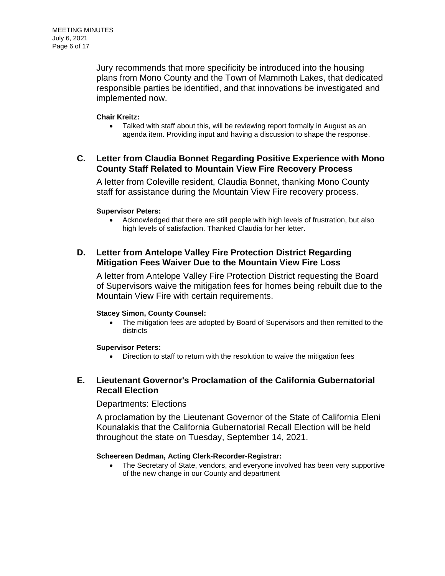Jury recommends that more specificity be introduced into the housing plans from Mono County and the Town of Mammoth Lakes, that dedicated responsible parties be identified, and that innovations be investigated and implemented now.

#### **Chair Kreitz:**

• Talked with staff about this, will be reviewing report formally in August as an agenda item. Providing input and having a discussion to shape the response.

## **C. [Letter from Claudia Bonnet Regarding Positive Experience with Mono](https://agenda.mono.ca.gov/AgendaWeb/CoverSheet.aspx?ItemID=13464&MeetingID=789)  [County Staff Related to Mountain View Fire Recovery Process](https://agenda.mono.ca.gov/AgendaWeb/CoverSheet.aspx?ItemID=13464&MeetingID=789)**

A letter from Coleville resident, Claudia Bonnet, thanking Mono County staff for assistance during the Mountain View Fire recovery process.

#### **Supervisor Peters:**

• Acknowledged that there are still people with high levels of frustration, but also high levels of satisfaction. Thanked Claudia for her letter.

### **D. [Letter from Antelope Valley Fire Protection District Regarding](https://agenda.mono.ca.gov/AgendaWeb/CoverSheet.aspx?ItemID=13478&MeetingID=789)  [Mitigation Fees Waiver Due to the Mountain View Fire Loss](https://agenda.mono.ca.gov/AgendaWeb/CoverSheet.aspx?ItemID=13478&MeetingID=789)**

A letter from Antelope Valley Fire Protection District requesting the Board of Supervisors waive the mitigation fees for homes being rebuilt due to the Mountain View Fire with certain requirements.

#### **Stacey Simon, County Counsel:**

• The mitigation fees are adopted by Board of Supervisors and then remitted to the districts

### **Supervisor Peters:**

• Direction to staff to return with the resolution to waive the mitigation fees

# **E. [Lieutenant Governor's Proclamation of the California Gubernatorial](https://agenda.mono.ca.gov/AgendaWeb/CoverSheet.aspx?ItemID=13494&MeetingID=789)  [Recall Election](https://agenda.mono.ca.gov/AgendaWeb/CoverSheet.aspx?ItemID=13494&MeetingID=789)**

### Departments: Elections

A proclamation by the Lieutenant Governor of the State of California Eleni Kounalakis that the California Gubernatorial Recall Election will be held throughout the state on Tuesday, September 14, 2021.

### **Scheereen Dedman, Acting Clerk-Recorder-Registrar:**

• The Secretary of State, vendors, and everyone involved has been very supportive of the new change in our County and department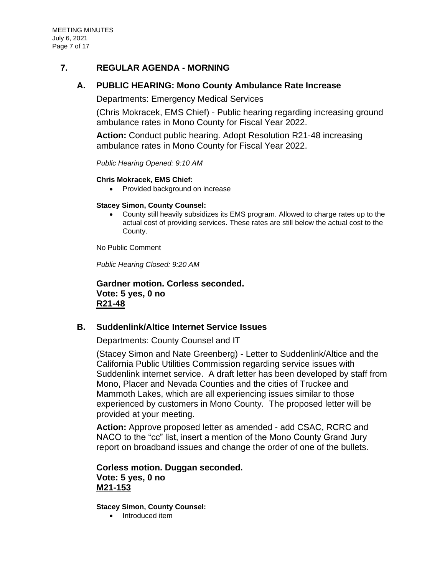## **7. REGULAR AGENDA - MORNING**

## **A. [PUBLIC HEARING: Mono County Ambulance Rate Increase](https://agenda.mono.ca.gov/AgendaWeb/CoverSheet.aspx?ItemID=13414&MeetingID=789)**

Departments: Emergency Medical Services

(Chris Mokracek, EMS Chief) - Public hearing regarding increasing ground ambulance rates in Mono County for Fiscal Year 2022.

**Action:** Conduct public hearing. Adopt Resolution R21-48 increasing ambulance rates in Mono County for Fiscal Year 2022.

*Public Hearing Opened: 9:10 AM*

#### **Chris Mokracek, EMS Chief:**

• Provided background on increase

#### **Stacey Simon, County Counsel:**

• County still heavily subsidizes its EMS program. Allowed to charge rates up to the actual cost of providing services. These rates are still below the actual cost to the County.

No Public Comment

*Public Hearing Closed: 9:20 AM*

**Gardner motion. Corless seconded. Vote: 5 yes, 0 no R21-48**

## **B. [Suddenlink/Altice Internet Service Issues](https://agenda.mono.ca.gov/AgendaWeb/CoverSheet.aspx?ItemID=13497&MeetingID=789)**

Departments: County Counsel and IT

(Stacey Simon and Nate Greenberg) - Letter to Suddenlink/Altice and the California Public Utilities Commission regarding service issues with Suddenlink internet service. A draft letter has been developed by staff from Mono, Placer and Nevada Counties and the cities of Truckee and Mammoth Lakes, which are all experiencing issues similar to those experienced by customers in Mono County. The proposed letter will be provided at your meeting.

**Action:** Approve proposed letter as amended - add CSAC, RCRC and NACO to the "cc" list, insert a mention of the Mono County Grand Jury report on broadband issues and change the order of one of the bullets.

### **Corless motion. Duggan seconded. Vote: 5 yes, 0 no M21-153**

**Stacey Simon, County Counsel:**

• Introduced item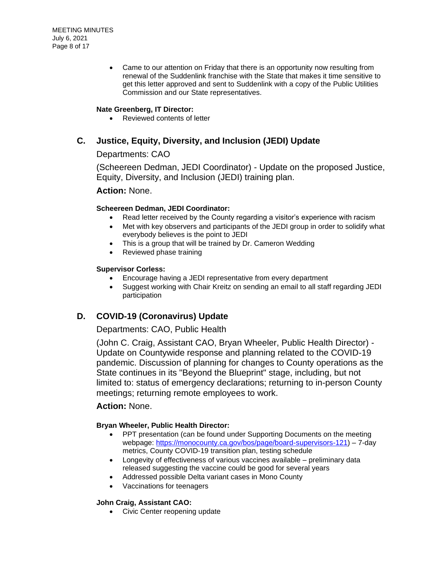• Came to our attention on Friday that there is an opportunity now resulting from renewal of the Suddenlink franchise with the State that makes it time sensitive to get this letter approved and sent to Suddenlink with a copy of the Public Utilities Commission and our State representatives.

#### **Nate Greenberg, IT Director:**

• Reviewed contents of letter

### **C. [Justice, Equity, Diversity, and Inclusion \(JEDI\) Update](https://agenda.mono.ca.gov/AgendaWeb/CoverSheet.aspx?ItemID=13456&MeetingID=789)**

### Departments: CAO

(Scheereen Dedman, JEDI Coordinator) - Update on the proposed Justice, Equity, Diversity, and Inclusion (JEDI) training plan.

#### **Action:** None.

#### **Scheereen Dedman, JEDI Coordinator:**

- Read letter received by the County regarding a visitor's experience with racism
- Met with key observers and participants of the JEDI group in order to solidify what everybody believes is the point to JEDI
- This is a group that will be trained by Dr. Cameron Wedding
- Reviewed phase training

#### **Supervisor Corless:**

- Encourage having a JEDI representative from every department
- Suggest working with Chair Kreitz on sending an email to all staff regarding JEDI participation

## **D. [COVID-19 \(Coronavirus\) Update](https://agenda.mono.ca.gov/AgendaWeb/CoverSheet.aspx?ItemID=13370&MeetingID=789)**

### Departments: CAO, Public Health

(John C. Craig, Assistant CAO, Bryan Wheeler, Public Health Director) - Update on Countywide response and planning related to the COVID-19 pandemic. Discussion of planning for changes to County operations as the State continues in its "Beyond the Blueprint" stage, including, but not limited to: status of emergency declarations; returning to in-person County meetings; returning remote employees to work.

#### **Action:** None.

#### **Bryan Wheeler, Public Health Director:**

- PPT presentation (can be found under Supporting Documents on the meeting webpage: [https://monocounty.ca.gov/bos/page/board-supervisors-121\)](https://monocounty.ca.gov/bos/page/board-supervisors-121) – 7-day metrics, County COVID-19 transition plan, testing schedule
- Longevity of effectiveness of various vaccines available preliminary data released suggesting the vaccine could be good for several years
- Addressed possible Delta variant cases in Mono County
- Vaccinations for teenagers

#### **John Craig, Assistant CAO:**

• Civic Center reopening update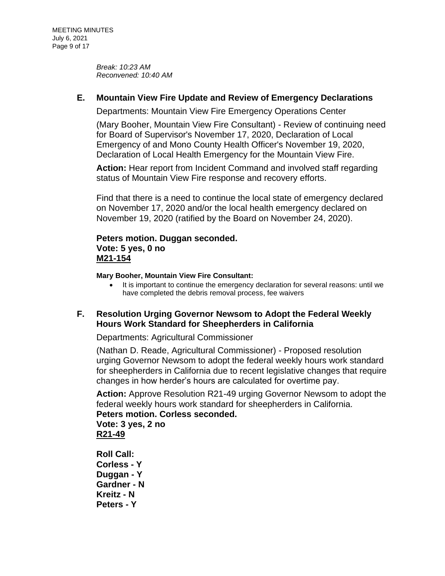*Break: 10:23 AM Reconvened: 10:40 AM*

# **E. [Mountain View Fire Update and Review of Emergency Declarations](https://agenda.mono.ca.gov/AgendaWeb/CoverSheet.aspx?ItemID=13361&MeetingID=789)**

Departments: Mountain View Fire Emergency Operations Center

(Mary Booher, Mountain View Fire Consultant) - Review of continuing need for Board of Supervisor's November 17, 2020, Declaration of Local Emergency of and Mono County Health Officer's November 19, 2020, Declaration of Local Health Emergency for the Mountain View Fire.

**Action:** Hear report from Incident Command and involved staff regarding status of Mountain View Fire response and recovery efforts.

Find that there is a need to continue the local state of emergency declared on November 17, 2020 and/or the local health emergency declared on November 19, 2020 (ratified by the Board on November 24, 2020).

# **Peters motion. Duggan seconded. Vote: 5 yes, 0 no M21-154**

**Mary Booher, Mountain View Fire Consultant:**

• It is important to continue the emergency declaration for several reasons: until we have completed the debris removal process, fee waivers

## **F. [Resolution Urging Governor Newsom to Adopt the Federal Weekly](https://agenda.mono.ca.gov/AgendaWeb/CoverSheet.aspx?ItemID=13450&MeetingID=789)  [Hours Work Standard for Sheepherders in California](https://agenda.mono.ca.gov/AgendaWeb/CoverSheet.aspx?ItemID=13450&MeetingID=789)**

Departments: Agricultural Commissioner

(Nathan D. Reade, Agricultural Commissioner) - Proposed resolution urging Governor Newsom to adopt the federal weekly hours work standard for sheepherders in California due to recent legislative changes that require changes in how herder's hours are calculated for overtime pay.

**Action:** Approve Resolution R21-49 urging Governor Newsom to adopt the federal weekly hours work standard for sheepherders in California. **Peters motion. Corless seconded. Vote: 3 yes, 2 no**

**R21-49**

**Roll Call: Corless - Y Duggan - Y Gardner - N Kreitz - N Peters - Y**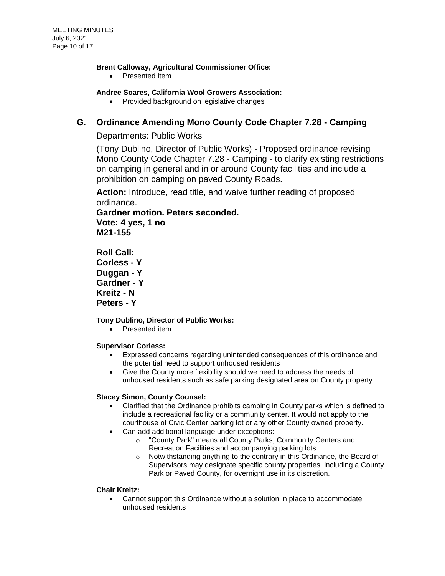#### **Brent Calloway, Agricultural Commissioner Office:**

• Presented item

#### **Andree Soares, California Wool Growers Association:**

• Provided background on legislative changes

## **G. [Ordinance Amending Mono County Code Chapter 7.28 -](https://agenda.mono.ca.gov/AgendaWeb/CoverSheet.aspx?ItemID=13451&MeetingID=789) Camping**

### Departments: Public Works

(Tony Dublino, Director of Public Works) - Proposed ordinance revising Mono County Code Chapter 7.28 - Camping - to clarify existing restrictions on camping in general and in or around County facilities and include a prohibition on camping on paved County Roads.

**Action:** Introduce, read title, and waive further reading of proposed ordinance.

**Gardner motion. Peters seconded. Vote: 4 yes, 1 no**

**M21-155**

**Roll Call: Corless - Y Duggan - Y Gardner - Y Kreitz - N Peters - Y**

### **Tony Dublino, Director of Public Works:**

• Presented item

#### **Supervisor Corless:**

- Expressed concerns regarding unintended consequences of this ordinance and the potential need to support unhoused residents
- Give the County more flexibility should we need to address the needs of unhoused residents such as safe parking designated area on County property

#### **Stacey Simon, County Counsel:**

- Clarified that the Ordinance prohibits camping in County parks which is defined to include a recreational facility or a community center. It would not apply to the courthouse of Civic Center parking lot or any other County owned property.
- Can add additional language under exceptions:
	- o "County Park" means all County Parks, Community Centers and Recreation Facilities and accompanying parking lots.
	- o Notwithstanding anything to the contrary in this Ordinance, the Board of Supervisors may designate specific county properties, including a County Park or Paved County, for overnight use in its discretion.

#### **Chair Kreitz:**

• Cannot support this Ordinance without a solution in place to accommodate unhoused residents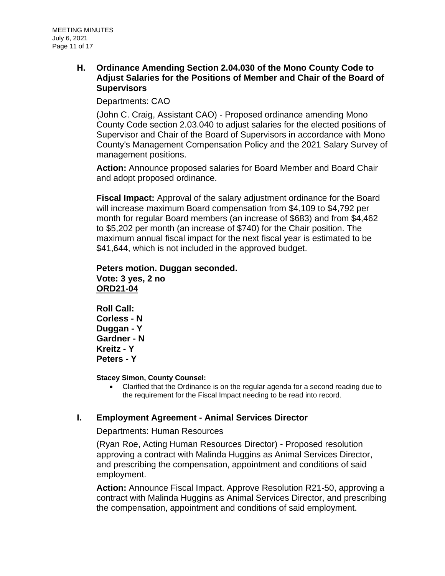### **H. [Ordinance Amending Section 2.04.030 of the Mono County Code to](https://agenda.mono.ca.gov/AgendaWeb/CoverSheet.aspx?ItemID=13457&MeetingID=789)  [Adjust Salaries for the Positions of Member and Chair of the Board of](https://agenda.mono.ca.gov/AgendaWeb/CoverSheet.aspx?ItemID=13457&MeetingID=789)  [Supervisors](https://agenda.mono.ca.gov/AgendaWeb/CoverSheet.aspx?ItemID=13457&MeetingID=789)**

Departments: CAO

(John C. Craig, Assistant CAO) - Proposed ordinance amending Mono County Code section 2.03.040 to adjust salaries for the elected positions of Supervisor and Chair of the Board of Supervisors in accordance with Mono County's Management Compensation Policy and the 2021 Salary Survey of management positions.

**Action:** Announce proposed salaries for Board Member and Board Chair and adopt proposed ordinance.

**Fiscal Impact:** Approval of the salary adjustment ordinance for the Board will increase maximum Board compensation from \$4,109 to \$4,792 per month for regular Board members (an increase of \$683) and from \$4,462 to \$5,202 per month (an increase of \$740) for the Chair position. The maximum annual fiscal impact for the next fiscal year is estimated to be \$41,644, which is not included in the approved budget.

### **Peters motion. Duggan seconded. Vote: 3 yes, 2 no ORD21-04**

**Roll Call: Corless - N Duggan - Y Gardner - N Kreitz - Y Peters - Y**

**Stacey Simon, County Counsel:**

• Clarified that the Ordinance is on the regular agenda for a second reading due to the requirement for the Fiscal Impact needing to be read into record.

# **I. [Employment Agreement -](https://agenda.mono.ca.gov/AgendaWeb/CoverSheet.aspx?ItemID=13258&MeetingID=789) Animal Services Director**

Departments: Human Resources

(Ryan Roe, Acting Human Resources Director) - Proposed resolution approving a contract with Malinda Huggins as Animal Services Director, and prescribing the compensation, appointment and conditions of said employment.

**Action:** Announce Fiscal Impact. Approve Resolution R21-50, approving a contract with Malinda Huggins as Animal Services Director, and prescribing the compensation, appointment and conditions of said employment.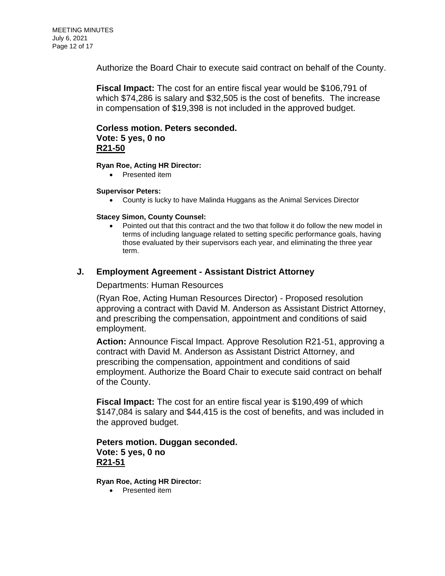Authorize the Board Chair to execute said contract on behalf of the County.

**Fiscal Impact:** The cost for an entire fiscal year would be \$106,791 of which \$74,286 is salary and \$32,505 is the cost of benefits. The increase in compensation of \$19,398 is not included in the approved budget.

### **Corless motion. Peters seconded. Vote: 5 yes, 0 no R21-50**

#### **Ryan Roe, Acting HR Director:**

• Presented item

#### **Supervisor Peters:**

• County is lucky to have Malinda Huggans as the Animal Services Director

#### **Stacey Simon, County Counsel:**

• Pointed out that this contract and the two that follow it do follow the new model in terms of including language related to setting specific performance goals, having those evaluated by their supervisors each year, and eliminating the three year term.

### **J. Employment Agreement - [Assistant District Attorney](https://agenda.mono.ca.gov/AgendaWeb/CoverSheet.aspx?ItemID=13465&MeetingID=789)**

Departments: Human Resources

(Ryan Roe, Acting Human Resources Director) - Proposed resolution approving a contract with David M. Anderson as Assistant District Attorney, and prescribing the compensation, appointment and conditions of said employment.

**Action:** Announce Fiscal Impact. Approve Resolution R21-51, approving a contract with David M. Anderson as Assistant District Attorney, and prescribing the compensation, appointment and conditions of said employment. Authorize the Board Chair to execute said contract on behalf of the County.

**Fiscal Impact:** The cost for an entire fiscal year is \$190,499 of which \$147,084 is salary and \$44,415 is the cost of benefits, and was included in the approved budget.

### **Peters motion. Duggan seconded. Vote: 5 yes, 0 no R21-51**

**Ryan Roe, Acting HR Director:**

• Presented item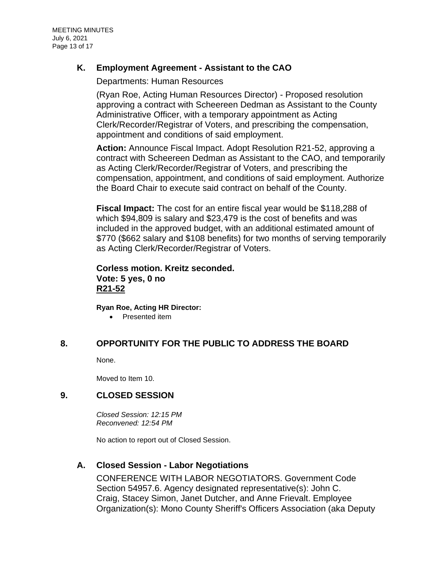MEETING MINUTES July 6, 2021 Page 13 of 17

### **K. [Employment Agreement -](https://agenda.mono.ca.gov/AgendaWeb/CoverSheet.aspx?ItemID=13466&MeetingID=789) Assistant to the CAO**

Departments: Human Resources

(Ryan Roe, Acting Human Resources Director) - Proposed resolution approving a contract with Scheereen Dedman as Assistant to the County Administrative Officer, with a temporary appointment as Acting Clerk/Recorder/Registrar of Voters, and prescribing the compensation, appointment and conditions of said employment.

**Action:** Announce Fiscal Impact. Adopt Resolution R21-52, approving a contract with Scheereen Dedman as Assistant to the CAO, and temporarily as Acting Clerk/Recorder/Registrar of Voters, and prescribing the compensation, appointment, and conditions of said employment. Authorize the Board Chair to execute said contract on behalf of the County.

**Fiscal Impact:** The cost for an entire fiscal year would be \$118,288 of which \$94,809 is salary and \$23,479 is the cost of benefits and was included in the approved budget, with an additional estimated amount of \$770 (\$662 salary and \$108 benefits) for two months of serving temporarily as Acting Clerk/Recorder/Registrar of Voters.

### **Corless motion. Kreitz seconded. Vote: 5 yes, 0 no R21-52**

**Ryan Roe, Acting HR Director:**

• Presented item

### **8. OPPORTUNITY FOR THE PUBLIC TO ADDRESS THE BOARD**

None.

Moved to Item 10.

### **9. CLOSED SESSION**

*Closed Session: 12:15 PM Reconvened: 12:54 PM*

No action to report out of Closed Session.

## **A. Closed Session - [Labor Negotiations](https://agenda.mono.ca.gov/AgendaWeb/CoverSheet.aspx?ItemID=13368&MeetingID=789)**

CONFERENCE WITH LABOR NEGOTIATORS. Government Code Section 54957.6. Agency designated representative(s): John C. Craig, Stacey Simon, Janet Dutcher, and Anne Frievalt. Employee Organization(s): Mono County Sheriff's Officers Association (aka Deputy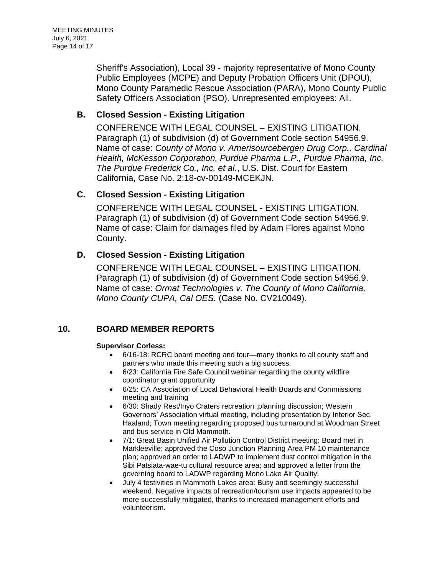Sheriff's Association), Local 39 - majority representative of Mono County Public Employees (MCPE) and Deputy Probation Officers Unit (DPOU), Mono County Paramedic Rescue Association (PARA), Mono County Public Safety Officers Association (PSO). Unrepresented employees: All.

# **B. Closed Session - [Existing Litigation](https://agenda.mono.ca.gov/AgendaWeb/CoverSheet.aspx?ItemID=13469&MeetingID=789)**

CONFERENCE WITH LEGAL COUNSEL – EXISTING LITIGATION. Paragraph (1) of subdivision (d) of Government Code section 54956.9. Name of case: *County of Mono v. Amerisourcebergen Drug Corp., Cardinal Health, McKesson Corporation, Purdue Pharma L.P., Purdue Pharma, Inc, The Purdue Frederick Co., Inc. et al.*, U.S. Dist. Court for Eastern California, Case No. 2:18-cv-00149-MCEKJN.

# **C. Closed Session - [Existing Litigation](https://agenda.mono.ca.gov/AgendaWeb/CoverSheet.aspx?ItemID=13481&MeetingID=789)**

CONFERENCE WITH LEGAL COUNSEL - EXISTING LITIGATION. Paragraph (1) of subdivision (d) of Government Code section 54956.9. Name of case: Claim for damages filed by Adam Flores against Mono County.

# **D. Closed Session - [Existing Litigation](https://agenda.mono.ca.gov/AgendaWeb/CoverSheet.aspx?ItemID=13493&MeetingID=789)**

CONFERENCE WITH LEGAL COUNSEL – EXISTING LITIGATION. Paragraph (1) of subdivision (d) of Government Code section 54956.9. Name of case: *Ormat Technologies v. The County of Mono California, Mono County CUPA, Cal OES.* (Case No. CV210049).

# **10. BOARD MEMBER REPORTS**

### **Supervisor Corless:**

- 6/16-18: RCRC board meeting and tour—many thanks to all county staff and partners who made this meeting such a big success.
- 6/23: California Fire Safe Council webinar regarding the county wildfire coordinator grant opportunity
- 6/25: CA Association of Local Behavioral Health Boards and Commissions meeting and training
- 6/30: Shady Rest/Inyo Craters recreation ;planning discussion; Western Governors' Association virtual meeting, including presentation by Interior Sec. Haaland; Town meeting regarding proposed bus turnaround at Woodman Street and bus service in Old Mammoth.
- 7/1: Great Basin Unified Air Pollution Control District meeting: Board met in Markleeville; approved the Coso Junction Planning Area PM 10 maintenance plan; approved an order to LADWP to implement dust control mitigation in the Sibi Patsiata-wae-tu cultural resource area; and approved a letter from the governing board to LADWP regarding Mono Lake Air Quality.
- July 4 festivities in Mammoth Lakes area: Busy and seemingly successful weekend. Negative impacts of recreation/tourism use impacts appeared to be more successfully mitigated, thanks to increased management efforts and volunteerism.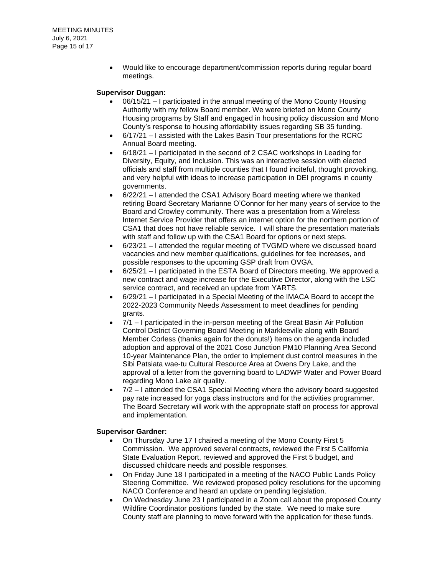• Would like to encourage department/commission reports during regular board meetings.

#### **Supervisor Duggan:**

- 06/15/21 I participated in the annual meeting of the Mono County Housing Authority with my fellow Board member. We were briefed on Mono County Housing programs by Staff and engaged in housing policy discussion and Mono County's response to housing affordability issues regarding SB 35 funding.
- 6/17/21 I assisted with the Lakes Basin Tour presentations for the RCRC Annual Board meeting.
- 6/18/21 I participated in the second of 2 CSAC workshops in Leading for Diversity, Equity, and Inclusion. This was an interactive session with elected officials and staff from multiple counties that I found inciteful, thought provoking, and very helpful with ideas to increase participation in DEI programs in county governments.
- 6/22/21 I attended the CSA1 Advisory Board meeting where we thanked retiring Board Secretary Marianne O'Connor for her many years of service to the Board and Crowley community. There was a presentation from a Wireless Internet Service Provider that offers an internet option for the northern portion of CSA1 that does not have reliable service. I will share the presentation materials with staff and follow up with the CSA1 Board for options or next steps.
- 6/23/21 I attended the regular meeting of TVGMD where we discussed board vacancies and new member qualifications, guidelines for fee increases, and possible responses to the upcoming GSP draft from OVGA.
- 6/25/21 I participated in the ESTA Board of Directors meeting. We approved a new contract and wage increase for the Executive Director, along with the LSC service contract, and received an update from YARTS.
- 6/29/21 I participated in a Special Meeting of the IMACA Board to accept the 2022-2023 Community Needs Assessment to meet deadlines for pending grants.
- 7/1 I participated in the in-person meeting of the Great Basin Air Pollution Control District Governing Board Meeting in Markleeville along with Board Member Corless (thanks again for the donuts!) Items on the agenda included adoption and approval of the 2021 Coso Junction PM10 Planning Area Second 10-year Maintenance Plan, the order to implement dust control measures in the Sibi Patsiata wae-tu Cultural Resource Area at Owens Dry Lake, and the approval of a letter from the governing board to LADWP Water and Power Board regarding Mono Lake air quality.
- $7/2 1$  attended the CSA1 Special Meeting where the advisory board suggested pay rate increased for yoga class instructors and for the activities programmer. The Board Secretary will work with the appropriate staff on process for approval and implementation.

#### **Supervisor Gardner:**

- On Thursday June 17 I chaired a meeting of the Mono County First 5 Commission. We approved several contracts, reviewed the First 5 California State Evaluation Report, reviewed and approved the First 5 budget, and discussed childcare needs and possible responses.
- On Friday June 18 I participated in a meeting of the NACO Public Lands Policy Steering Committee. We reviewed proposed policy resolutions for the upcoming NACO Conference and heard an update on pending legislation.
- On Wednesday June 23 I participated in a Zoom call about the proposed County Wildfire Coordinator positions funded by the state. We need to make sure County staff are planning to move forward with the application for these funds.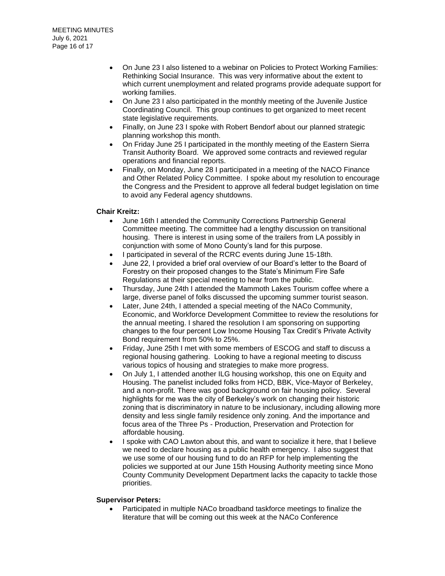- On June 23 I also listened to a webinar on Policies to Protect Working Families: Rethinking Social Insurance. This was very informative about the extent to which current unemployment and related programs provide adequate support for working families.
- On June 23 I also participated in the monthly meeting of the Juvenile Justice Coordinating Council. This group continues to get organized to meet recent state legislative requirements.
- Finally, on June 23 I spoke with Robert Bendorf about our planned strategic planning workshop this month.
- On Friday June 25 I participated in the monthly meeting of the Eastern Sierra Transit Authority Board. We approved some contracts and reviewed regular operations and financial reports.
- Finally, on Monday, June 28 I participated in a meeting of the NACO Finance and Other Related Policy Committee. I spoke about my resolution to encourage the Congress and the President to approve all federal budget legislation on time to avoid any Federal agency shutdowns.

#### **Chair Kreitz:**

- June 16th I attended the Community Corrections Partnership General Committee meeting. The committee had a lengthy discussion on transitional housing. There is interest in using some of the trailers from LA possibly in conjunction with some of Mono County's land for this purpose.
- I participated in several of the RCRC events during June 15-18th.
- June 22, I provided a brief oral overview of our Board's letter to the Board of Forestry on their proposed changes to the State's Minimum Fire Safe Regulations at their special meeting to hear from the public.
- Thursday, June 24th I attended the Mammoth Lakes Tourism coffee where a large, diverse panel of folks discussed the upcoming summer tourist season.
- Later, June 24th, I attended a special meeting of the NACo Community, Economic, and Workforce Development Committee to review the resolutions for the annual meeting. I shared the resolution I am sponsoring on supporting changes to the four percent Low Income Housing Tax Credit's Private Activity Bond requirement from 50% to 25%.
- Friday, June 25th I met with some members of ESCOG and staff to discuss a regional housing gathering. Looking to have a regional meeting to discuss various topics of housing and strategies to make more progress.
- On July 1, I attended another ILG housing workshop, this one on Equity and Housing. The panelist included folks from HCD, BBK, Vice-Mayor of Berkeley, and a non-profit. There was good background on fair housing policy. Several highlights for me was the city of Berkeley's work on changing their historic zoning that is discriminatory in nature to be inclusionary, including allowing more density and less single family residence only zoning. And the importance and focus area of the Three Ps - Production, Preservation and Protection for affordable housing.
- I spoke with CAO Lawton about this, and want to socialize it here, that I believe we need to declare housing as a public health emergency. I also suggest that we use some of our housing fund to do an RFP for help implementing the policies we supported at our June 15th Housing Authority meeting since Mono County Community Development Department lacks the capacity to tackle those priorities.

#### **Supervisor Peters:**

• Participated in multiple NACo broadband taskforce meetings to finalize the literature that will be coming out this week at the NACo Conference